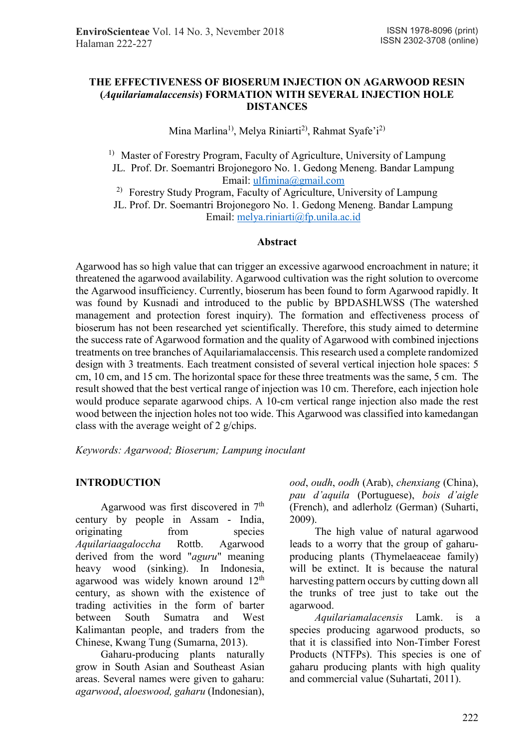#### **THE EFFECTIVENESS OF BIOSERUM INJECTION ON AGARWOOD RESIN (***Aquilariamalaccensis***) FORMATION WITH SEVERAL INJECTION HOLE DISTANCES**

Mina Marlina<sup>1)</sup>, Melya Riniarti<sup>2)</sup>, Rahmat Syafe'i<sup>2)</sup>

<sup>1)</sup> Master of Forestry Program, Faculty of Agriculture, University of Lampung JL. Prof. Dr. Soemantri Brojonegoro No. 1. Gedong Meneng. Bandar Lampung Email: ulfimina@gmail.com

2) Forestry Study Program, Faculty of Agriculture, University of Lampung

JL. Prof. Dr. Soemantri Brojonegoro No. 1. Gedong Meneng. Bandar Lampung Email: melya.riniarti@fp.unila.ac.id

## **Abstract**

Agarwood has so high value that can trigger an excessive agarwood encroachment in nature; it threatened the agarwood availability. Agarwood cultivation was the right solution to overcome the Agarwood insufficiency. Currently, bioserum has been found to form Agarwood rapidly. It was found by Kusnadi and introduced to the public by BPDASHLWSS (The watershed management and protection forest inquiry). The formation and effectiveness process of bioserum has not been researched yet scientifically. Therefore, this study aimed to determine the success rate of Agarwood formation and the quality of Agarwood with combined injections treatments on tree branches of Aquilariamalaccensis. This research used a complete randomized design with 3 treatments. Each treatment consisted of several vertical injection hole spaces: 5 cm, 10 cm, and 15 cm. The horizontal space for these three treatments was the same, 5 cm. The result showed that the best vertical range of injection was 10 cm. Therefore, each injection hole would produce separate agarwood chips. A 10-cm vertical range injection also made the rest wood between the injection holes not too wide. This Agarwood was classified into kamedangan class with the average weight of 2 g/chips.

*Keywords: Agarwood; Bioserum; Lampung inoculant* 

## **INTRODUCTION**

Agarwood was first discovered in 7<sup>th</sup> century by people in Assam - India, originating from species *Aquilariaagaloccha* Rottb. Agarwood derived from the word "*aguru*" meaning heavy wood (sinking). In Indonesia, agarwood was widely known around 12<sup>th</sup> century, as shown with the existence of trading activities in the form of barter between South Sumatra and West Kalimantan people, and traders from the Chinese, Kwang Tung (Sumarna, 2013).

Gaharu-producing plants naturally grow in South Asian and Southeast Asian areas. Several names were given to gaharu: *agarwood*, *aloeswood, gaharu* (Indonesian),

*ood*, *oudh*, *oodh* (Arab), *chenxiang* (China), *pau d'aquila* (Portuguese), *bois d'aigle* (French), and adlerholz (German) (Suharti, 2009).

The high value of natural agarwood leads to a worry that the group of gaharuproducing plants (Thymelaeaceae family) will be extinct. It is because the natural harvesting pattern occurs by cutting down all the trunks of tree just to take out the agarwood.

*Aquilariamalacensis* Lamk. is a species producing agarwood products, so that it is classified into Non-Timber Forest Products (NTFPs). This species is one of gaharu producing plants with high quality and commercial value (Suhartati, 2011).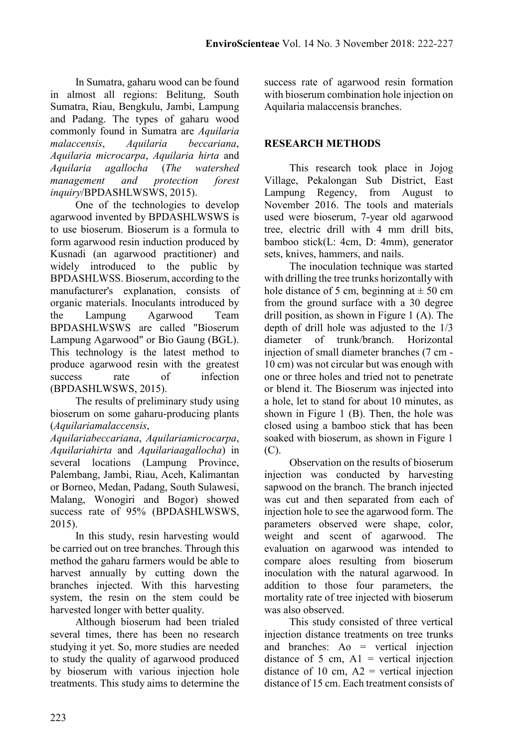In Sumatra, gaharu wood can be found in almost all regions: Belitung, South Sumatra, Riau, Bengkulu, Jambi, Lampung and Padang. The types of gaharu wood commonly found in Sumatra are *Aquilaria malaccensis*, *Aquilaria beccariana*, *Aquilaria microcarpa*, *Aquilaria hirta* and *Aquilaria agallocha* (*The watershed management and protection forest inquiry*/BPDASHLWSWS, 2015).

One of the technologies to develop agarwood invented by BPDASHLWSWS is to use bioserum. Bioserum is a formula to form agarwood resin induction produced by Kusnadi (an agarwood practitioner) and widely introduced to the public by BPDASHLWSS. Bioserum, according to the manufacturer's explanation, consists of organic materials. Inoculants introduced by the Lampung Agarwood Team BPDASHLWSWS are called "Bioserum Lampung Agarwood" or Bio Gaung (BGL). This technology is the latest method to produce agarwood resin with the greatest success rate of infection (BPDASHLWSWS, 2015).

The results of preliminary study using bioserum on some gaharu-producing plants (*Aquilariamalaccensis*,

*Aquilariabeccariana*, *Aquilariamicrocarpa*, *Aquilariahirta* and *Aquilariaagallocha*) in several locations (Lampung Province, Palembang, Jambi, Riau, Aceh, Kalimantan or Borneo, Medan, Padang, South Sulawesi, Malang, Wonogiri and Bogor) showed success rate of 95% (BPDASHLWSWS, 2015).

In this study, resin harvesting would be carried out on tree branches. Through this method the gaharu farmers would be able to harvest annually by cutting down the branches injected. With this harvesting system, the resin on the stem could be harvested longer with better quality.

Although bioserum had been trialed several times, there has been no research studying it yet. So, more studies are needed to study the quality of agarwood produced by bioserum with various injection hole treatments. This study aims to determine the

success rate of agarwood resin formation with bioserum combination hole injection on Aquilaria malaccensis branches.

## **RESEARCH METHODS**

This research took place in Jojog Village, Pekalongan Sub District, East Lampung Regency, from August to November 2016. The tools and materials used were bioserum, 7-year old agarwood tree, electric drill with 4 mm drill bits, bamboo stick(L: 4cm, D: 4mm), generator sets, knives, hammers, and nails.

The inoculation technique was started with drilling the tree trunks horizontally with hole distance of 5 cm, beginning at  $\pm$  50 cm from the ground surface with a 30 degree drill position, as shown in Figure 1 (A). The depth of drill hole was adjusted to the 1/3<br>diameter of trunk/branch Horizontal diameter of trunk/branch. Horizontal injection of small diameter branches (7 cm - 10 cm) was not circular but was enough with one or three holes and tried not to penetrate or blend it. The Bioserum was injected into a hole, let to stand for about 10 minutes, as shown in Figure 1 (B). Then, the hole was closed using a bamboo stick that has been soaked with bioserum, as shown in Figure 1 (C).

Observation on the results of bioserum injection was conducted by harvesting sapwood on the branch. The branch injected was cut and then separated from each of injection hole to see the agarwood form. The parameters observed were shape, color, weight and scent of agarwood. The evaluation on agarwood was intended to compare aloes resulting from bioserum inoculation with the natural agarwood. In addition to those four parameters, the mortality rate of tree injected with bioserum was also observed.

This study consisted of three vertical injection distance treatments on tree trunks and branches: Ao = vertical injection distance of 5 cm,  $A1$  = vertical injection distance of 10 cm,  $A2$  = vertical injection distance of 15 cm. Each treatment consists of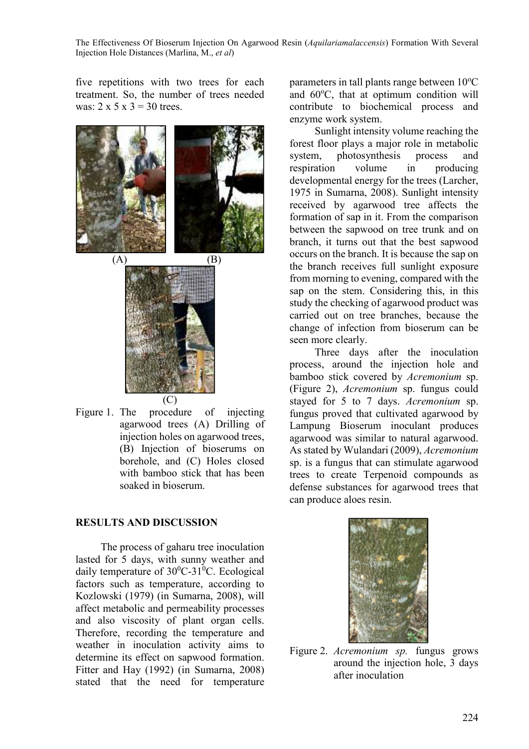The Effectiveness Of Bioserum Injection On Agarwood Resin (*Aquilariamalaccensis*) Formation With Several Injection Hole Distances (Marlina, M., *et al*)

five repetitions with two trees for each treatment. So, the number of trees needed was:  $2 \times 5 \times 3 = 30$  trees.



Figure 1. The procedure of injecting agarwood trees (A) Drilling of injection holes on agarwood trees, (B) Injection of bioserums on borehole, and (C) Holes closed with bamboo stick that has been soaked in bioserum.

#### **RESULTS AND DISCUSSION**

The process of gaharu tree inoculation lasted for 5 days, with sunny weather and daily temperature of  $30^0C-31^0C$ . Ecological factors such as temperature, according to Kozlowski (1979) (in Sumarna, 2008), will affect metabolic and permeability processes and also viscosity of plant organ cells. Therefore, recording the temperature and weather in inoculation activity aims to determine its effect on sapwood formation. Fitter and Hay (1992) (in Sumarna, 2008) stated that the need for temperature

parameters in tall plants range between  $10^{\circ}$ C and  $60^{\circ}$ C, that at optimum condition will contribute to biochemical process and enzyme work system.

Sunlight intensity volume reaching the forest floor plays a major role in metabolic system, photosynthesis process and respiration volume in producing developmental energy for the trees (Larcher, 1975 in Sumarna, 2008). Sunlight intensity received by agarwood tree affects the formation of sap in it. From the comparison between the sapwood on tree trunk and on branch, it turns out that the best sapwood occurs on the branch. It is because the sap on the branch receives full sunlight exposure from morning to evening, compared with the sap on the stem. Considering this, in this study the checking of agarwood product was carried out on tree branches, because the change of infection from bioserum can be seen more clearly.

Three days after the inoculation process, around the injection hole and bamboo stick covered by *Acremonium* sp. (Figure 2), *Acremonium* sp. fungus could stayed for 5 to 7 days. *Acremonium* sp. fungus proved that cultivated agarwood by Lampung Bioserum inoculant produces agarwood was similar to natural agarwood. As stated by Wulandari (2009), *Acremonium* sp. is a fungus that can stimulate agarwood trees to create Terpenoid compounds as defense substances for agarwood trees that can produce aloes resin.



Figure 2. *Acremonium sp.* fungus grows around the injection hole, 3 days after inoculation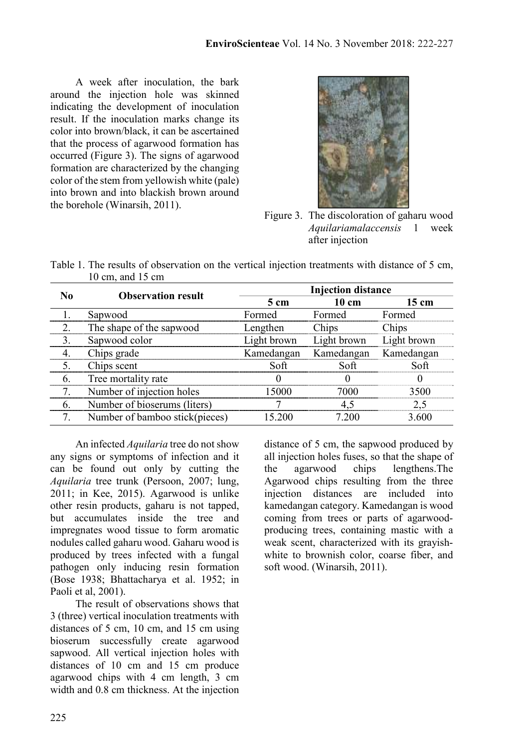A week after inoculation, the bark around the injection hole was skinned indicating the development of inoculation result. If the inoculation marks change its color into brown/black, it can be ascertained that the process of agarwood formation has occurred (Figure 3). The signs of agarwood formation are characterized by the changing color of the stem from yellowish white (pale) into brown and into blackish brown around the borehole (Winarsih, 2011).



Figure 3. The discoloration of gaharu wood *Aquilariamalaccensis* 1 week after injection

|                            | Table 1. The results of observation on the vertical injection treatments with distance of 5 cm, |  |  |  |  |
|----------------------------|-------------------------------------------------------------------------------------------------|--|--|--|--|
| 10 cm, and $15 \text{ cm}$ |                                                                                                 |  |  |  |  |

|   | <b>Observation result</b>      | <b>Injection distance</b> |                 |                 |  |  |
|---|--------------------------------|---------------------------|-----------------|-----------------|--|--|
|   |                                | $5 \text{ cm}$            | $10 \text{ cm}$ | $15 \text{ cm}$ |  |  |
|   | Sapwood                        | Formed                    | Formed          | Formed          |  |  |
|   | The shape of the sapwood       | Lengthen                  | Chips           | Chips           |  |  |
| 3 | Sapwood color                  | Light brown               | Light brown     | Light brown     |  |  |
|   | Chips grade                    | Kamedangan                | Kamedangan      | Kamedangan      |  |  |
|   | Chips scent                    | Soft                      | Soft            | Soft            |  |  |
| 6 | Tree mortality rate            |                           |                 |                 |  |  |
|   | Number of injection holes      | 15000                     | 7000            | 3500            |  |  |
| 6 | Number of bioserums (liters)   |                           |                 |                 |  |  |
|   | Number of bamboo stick(pieces) | 15.200                    | 7 200           | 3.600           |  |  |

An infected *Aquilaria* tree do not show any signs or symptoms of infection and it can be found out only by cutting the *Aquilaria* tree trunk (Persoon, 2007; lung, 2011; in Kee, 2015). Agarwood is unlike other resin products, gaharu is not tapped, but accumulates inside the tree and impregnates wood tissue to form aromatic nodules called gaharu wood. Gaharu wood is produced by trees infected with a fungal pathogen only inducing resin formation (Bose 1938; Bhattacharya et al. 1952; in Paoli et al. 2001).

The result of observations shows that 3 (three) vertical inoculation treatments with distances of 5 cm, 10 cm, and 15 cm using bioserum successfully create agarwood sapwood. All vertical injection holes with distances of 10 cm and 15 cm produce agarwood chips with 4 cm length, 3 cm width and 0.8 cm thickness. At the injection

distance of 5 cm, the sapwood produced by all injection holes fuses, so that the shape of the agarwood chips lengthens.The Agarwood chips resulting from the three injection distances are included into kamedangan category. Kamedangan is wood coming from trees or parts of agarwoodproducing trees, containing mastic with a weak scent, characterized with its grayishwhite to brownish color, coarse fiber, and soft wood. (Winarsih, 2011).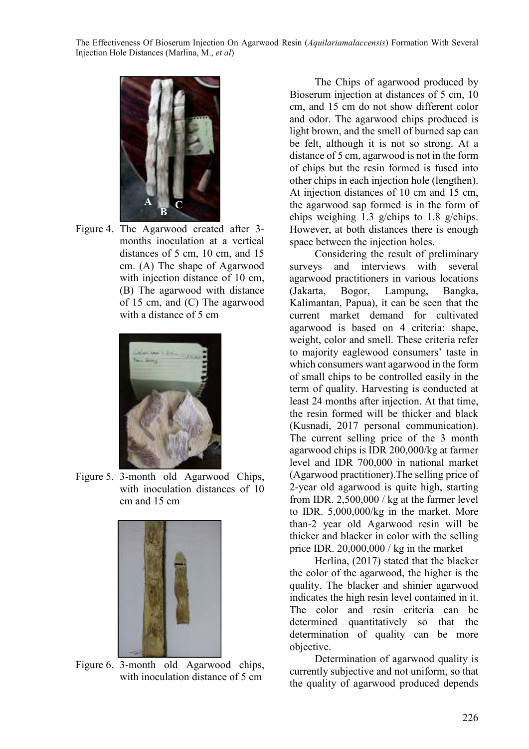

Figure 4. The Agarwood created after 3 months inoculation at a vertical distances of 5 cm, 10 cm, and 15 cm. (A) The shape of Agarwood with injection distance of 10 cm, (B) The agarwood with distance of 15 cm, and (C) The agarwood with a distance of 5 cm



Figure 5. 3-month old Agarwood Chips, with inoculation distances of 10 cm and 15 cm



Figure 6. 3-month old Agarwood chips, with inoculation distance of 5 cm

The Chips of agarwood produced by Bioserum injection at distances of 5 cm, 10 cm, and 15 cm do not show different color and odor. The agarwood chips produced is light brown, and the smell of burned sap can be felt, although it is not so strong. At a distance of 5 cm, agarwood is not in the form of chips but the resin formed is fused into other chips in each injection hole (lengthen). At injection distances of 10 cm and 15 cm, the agarwood sap formed is in the form of chips weighing 1.3 g/chips to 1.8 g/chips. However, at both distances there is enough space between the injection holes.

Considering the result of preliminary surveys and interviews with several agarwood practitioners in various locations (Jakarta, Bogor, Lampung, Bangka, Kalimantan, Papua), it can be seen that the current market demand for cultivated agarwood is based on 4 criteria: shape, weight, color and smell. These criteria refer to majority eaglewood consumers' taste in which consumers want agarwood in the form of small chips to be controlled easily in the term of quality. Harvesting is conducted at least 24 months after injection. At that time, the resin formed will be thicker and black (Kusnadi, 2017 personal communication). The current selling price of the 3 month agarwood chips is IDR 200,000/kg at farmer level and IDR 700,000 in national market (Agarwood practitioner).The selling price of 2-year old agarwood is quite high, starting from IDR. 2,500,000 / kg at the farmer level to IDR. 5,000,000/kg in the market. More than-2 year old Agarwood resin will be thicker and blacker in color with the selling price IDR. 20,000,000 / kg in the market

Herlina, (2017) stated that the blacker the color of the agarwood, the higher is the quality. The blacker and shinier agarwood indicates the high resin level contained in it. The color and resin criteria can be determined quantitatively so that the determination of quality can be more objective.

Determination of agarwood quality is currently subjective and not uniform, so that the quality of agarwood produced depends